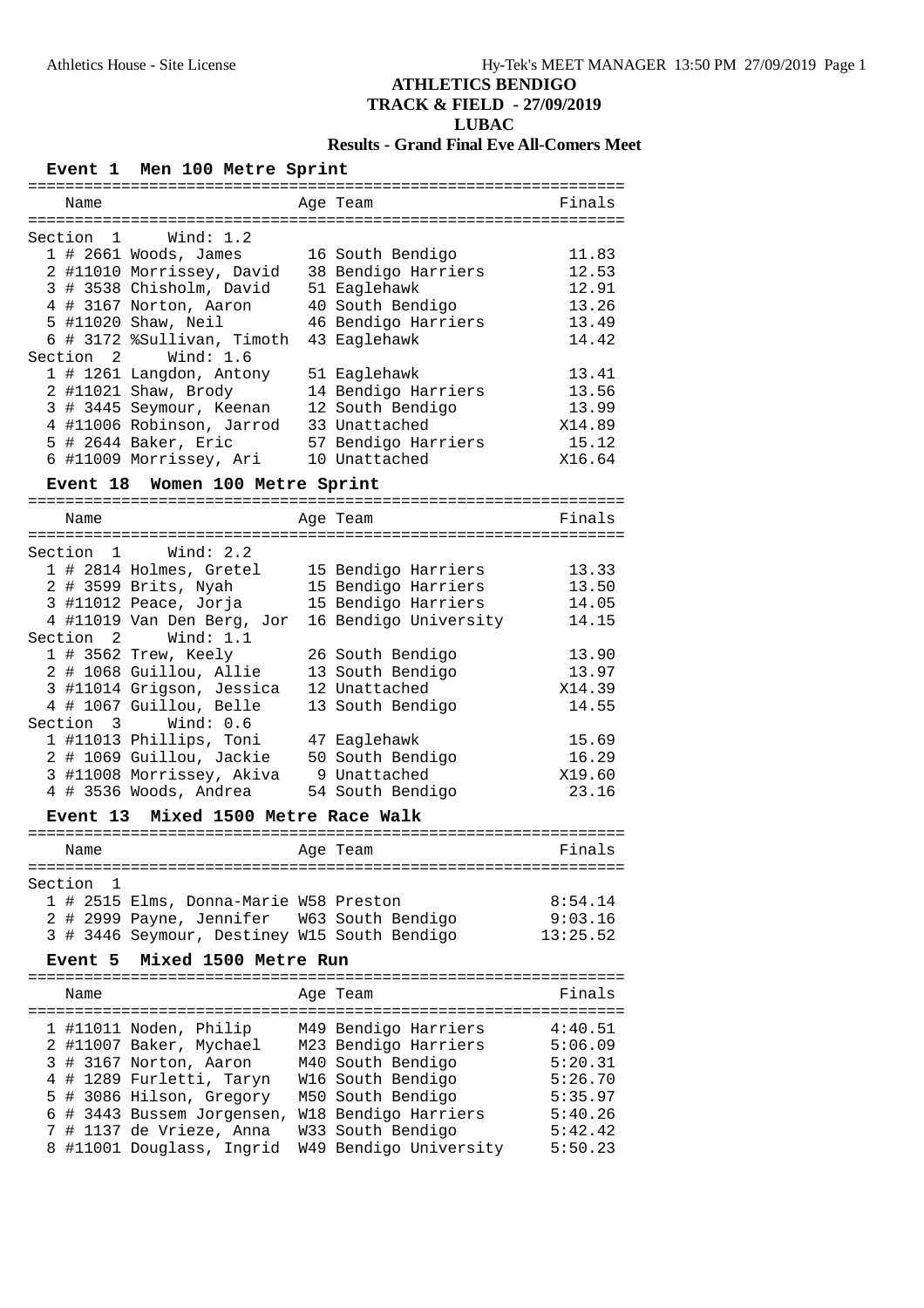**TRACK & FIELD - 27/09/2019**

## **LUBAC**

## **Results - Grand Final Eve All-Comers Meet**

| Men 100 Metre Sprint<br><b>Event</b> 1                                      |                                                 |
|-----------------------------------------------------------------------------|-------------------------------------------------|
| ==============================<br>Age Team<br>Name                          | -------------------------------------<br>Finals |
| Wind: 1.2<br>Section 1                                                      |                                                 |
| $1$ # 2661 Woods, James                                                     | 16 South Bendigo<br>11.83                       |
| 2 #11010 Morrissey, David 38 Bendigo Harriers                               | 12.53                                           |
| 3 # 3538 Chisholm, David                                                    | 51 Eaglehawk<br>12.91                           |
| 4 # 3167 Norton, Aaron                                                      | 13.26<br>40 South Bendigo                       |
| 5 #11020 Shaw, Neil                                                         | 46 Bendigo Harriers<br>13.49                    |
| 6 # 3172 %Sullivan, Timoth                                                  | 43 Eaglehawk<br>14.42                           |
| Section 2 Wind: 1.6                                                         |                                                 |
| 1 # 1261 Langdon, Antony                                                    | 51 Eaglehawk<br>13.41                           |
| 2 #11021 Shaw, Brody                                                        | 14 Bendigo Harriers<br>13.56                    |
| 3 # 3445 Seymour, Keenan                                                    | 12 South Bendigo<br>13.99                       |
| 4 #11006 Robinson, Jarrod                                                   | 33 Unattached<br>X14.89                         |
| 5 # 2644 Baker, Eric                                                        | 57 Bendigo Harriers<br>15.12                    |
| 6 #11009 Morrissey, Ari                                                     | 10 Unattached<br>X16.64                         |
| Women 100 Metre Sprint<br>Event 18                                          |                                                 |
|                                                                             |                                                 |
| Age Team<br>Name                                                            | Finals                                          |
|                                                                             |                                                 |
| Section 1 Wind: 2.2                                                         |                                                 |
| 1 # 2814 Holmes, Gretel                                                     | 15 Bendigo Harriers<br>13.33                    |
| 2 # 3599 Brits, Nyah                                                        | 15 Bendigo Harriers<br>13.50                    |
| 3 #11012 Peace, Jorja                                                       | 15 Bendigo Harriers<br>14.05                    |
| 4 #11019 Van Den Berg, Jor                                                  | 16 Bendigo University<br>14.15                  |
| Section 2 Wind: 1.1                                                         |                                                 |
| 1 # 3562 Trew, Keely                                                        | 26 South Bendigo<br>13.90                       |
| 2 # 1068 Guillou, Allie                                                     | 13 South Bendigo<br>13.97                       |
| 3 #11014 Grigson, Jessica                                                   | 12 Unattached<br>X14.39                         |
| 4 # 1067 Guillou, Belle                                                     | 13 South Bendigo<br>14.55                       |
| Section 3 Wind: 0.6                                                         |                                                 |
| 1 #11013 Phillips, Toni                                                     | 15.69<br>47 Eaglehawk                           |
| 2 # 1069 Guillou, Jackie 50 South Bendigo                                   | 16.29                                           |
| 3 #11008 Morrissey, Akiva                                                   | 9 Unattached<br>X19.60                          |
| 4 # 3536 Woods, Andrea                                                      | 54 South Bendigo<br>23.16                       |
| Event 13<br>Mixed 1500 Metre Race Walk                                      |                                                 |
|                                                                             |                                                 |
| Age Team<br>Name                                                            | Finals                                          |
|                                                                             |                                                 |
| Section<br>1                                                                |                                                 |
| 1 # 2515 Elms, Donna-Marie W58 Preston                                      | 8:54.14                                         |
| 2 # 2999 Payne, Jennifer                                                    | W63 South Bendigo<br>9:03.16                    |
| 3 # 3446 Seymour, Destiney W15 South Bendigo                                | 13:25.52                                        |
| Mixed 1500 Metre Run<br>Event 5                                             |                                                 |
|                                                                             |                                                 |
| Age Team<br>Name                                                            | Finals                                          |
| 1 #11011 Noden, Philip                                                      | M49 Bendigo Harriers<br>4:40.51                 |
| 2 #11007 Baker, Mychael                                                     | M23 Bendigo Harriers<br>5:06.09                 |
| 3 # 3167 Norton, Aaron                                                      | M40 South Bendigo<br>5:20.31                    |
|                                                                             | W16 South Bendigo<br>5:26.70                    |
|                                                                             |                                                 |
| 4 # 1289 Furletti, Taryn                                                    |                                                 |
| 5 # 3086 Hilson, Gregory                                                    | 5:35.97<br>M50 South Bendigo                    |
| 6 # 3443 Bussem Jorgensen, W18 Bendigo Harriers<br>7 # 1137 de Vrieze, Anna | 5:40.26<br>W33 South Bendigo<br>5:42.42         |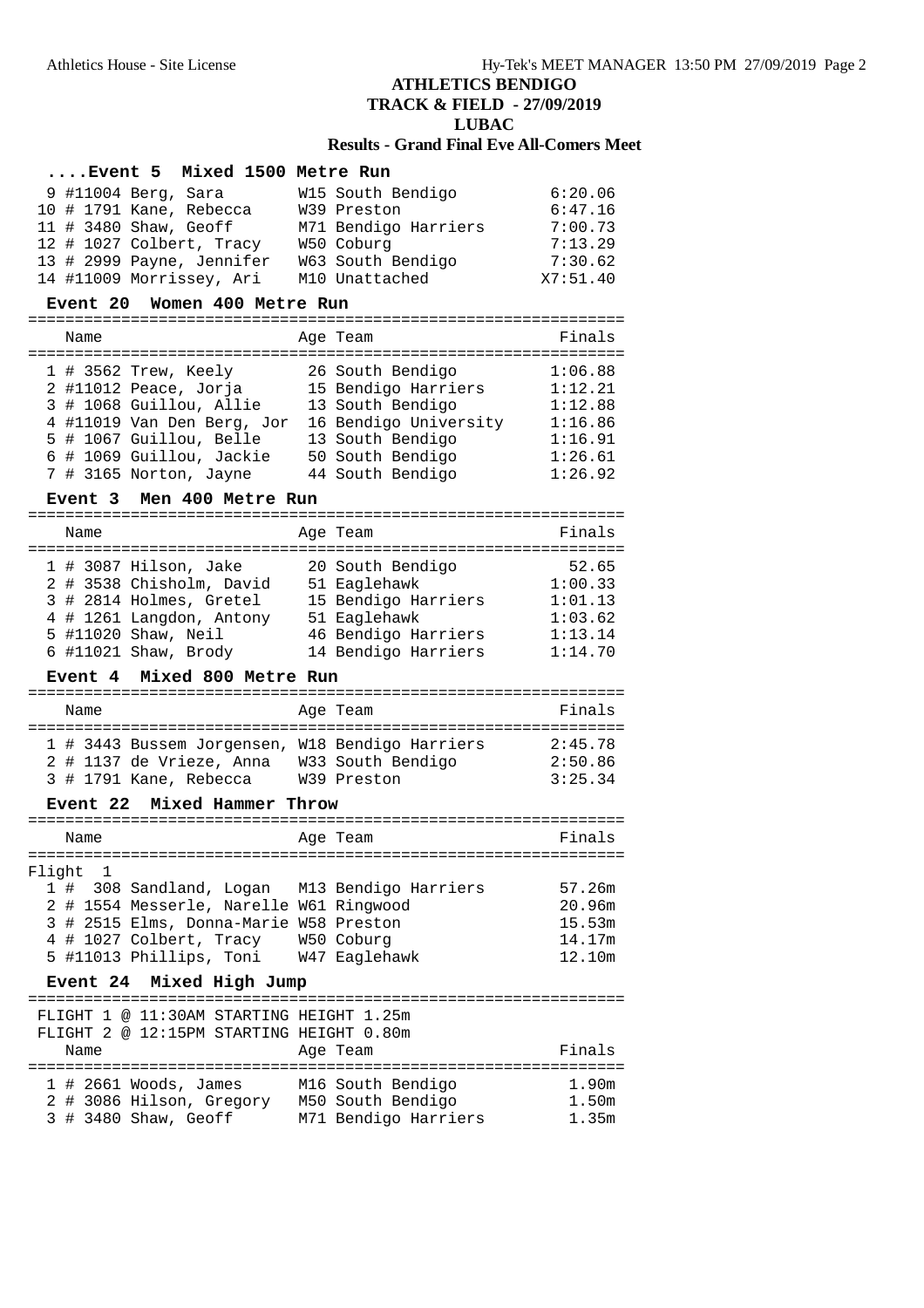**TRACK & FIELD - 27/09/2019**

## **LUBAC**

## **Results - Grand Final Eve All-Comers Meet**

| Event 5 Mixed 1500 Metre Run |                      |          |
|------------------------------|----------------------|----------|
| 9 #11004 Berg, Sara          | W15 South Bendigo    | 6:20.06  |
| 10 # 1791 Kane, Rebecca      | W39 Preston          | 6:47.16  |
| 11 # 3480 Shaw, Geoff        | M71 Bendigo Harriers | 7:00.73  |
| 12 # 1027 Colbert, Tracy     | W50 Coburg           | 7:13.29  |
| 13 # 2999 Payne, Jennifer    | W63 South Bendigo    | 7:30.62  |
| 14 #11009 Morrissey, Ari     | M10 Unattached       | X7:51.40 |

#### **Event 20 Women 400 Metre Run**

================================================================

| Name |                            | Age Team              | Finals  |
|------|----------------------------|-----------------------|---------|
|      | $1$ # 3562 Trew, Keely     | 26 South Bendigo      | 1:06.88 |
|      | 2 #11012 Peace, Jorja      | 15 Bendigo Harriers   | 1:12.21 |
|      | 3 # 1068 Guillou, Allie    | 13 South Bendigo      | 1:12.88 |
|      | 4 #11019 Van Den Berg, Jor | 16 Bendigo University | 1:16.86 |
|      | 5 # 1067 Guillou, Belle    | 13 South Bendigo      | 1:16.91 |
|      | 6 # 1069 Guillou, Jackie   | 50 South Bendigo      | 1:26.61 |
|      | 7 # 3165 Norton, Jayne     | 44 South Bendigo      | 1:26.92 |

#### **Event 3 Men 400 Metre Run**

| Name |                          | Age Team            | Finals  |
|------|--------------------------|---------------------|---------|
|      | 1 # 3087 Hilson, Jake    | 20 South Bendigo    | 52.65   |
|      | 2 # 3538 Chisholm, David | 51 Eaglehawk        | 1:00.33 |
|      | 3 # 2814 Holmes, Gretel  | 15 Bendigo Harriers | 1:01.13 |
|      | 4 # 1261 Langdon, Antony | 51 Eaglehawk        | 1:03.62 |
|      | 5 #11020 Shaw, Neil      | 46 Bendigo Harriers | 1:13.14 |
|      | $6$ #11021 Shaw, Brody   | 14 Bendigo Harriers | 1:14.70 |

#### **Event 4 Mixed 800 Metre Run**

| Name |                                                                             | Age Team          | Finals             |
|------|-----------------------------------------------------------------------------|-------------------|--------------------|
|      | 1 # 3443 Bussem Jorgensen, W18 Bendigo Harriers<br>2 # 1137 de Vrieze, Anna | W33 South Bendigo | 2:45.78<br>2:50.86 |
|      | 3 # 1791 Kane, Rebecca                                                      | W39 Preston       | 3:25.34            |

#### **Event 22 Mixed Hammer Throw**

|  | Name     |                                              | Age Team      | Finals |
|--|----------|----------------------------------------------|---------------|--------|
|  | Flight 1 |                                              |               |        |
|  |          |                                              |               |        |
|  |          | 1 # 308 Sandland, Logan M13 Bendigo Harriers |               | 57.26m |
|  |          | 2 # 1554 Messerle, Narelle W61 Ringwood      |               | 20.96m |
|  |          | 3 # 2515 Elms, Donna-Marie W58 Preston       |               | 15.53m |
|  |          | 4 # 1027 Colbert, Tracy W50 Coburg           |               | 14.17m |
|  |          | 5 #11013 Phillips, Toni                      | W47 Eaglehawk | 12.10m |

### **Event 24 Mixed High Jump**

|      | FLIGHT 1 @ 11:30AM STARTING HEIGHT 1.25m |          |                      |        |
|------|------------------------------------------|----------|----------------------|--------|
|      | FLIGHT 2 @ 12:15PM STARTING HEIGHT 0.80m |          |                      |        |
| Name |                                          | Age Team |                      | Finals |
|      |                                          |          |                      |        |
|      | $1$ # 2661 Woods, James                  |          | M16 South Bendigo    | 1.90m  |
|      | 2 # 3086 Hilson, Gregory                 |          | M50 South Bendigo    | 1.50m  |
|      | 3 # 3480 Shaw, Geoff                     |          | M71 Bendigo Harriers | 1.35m  |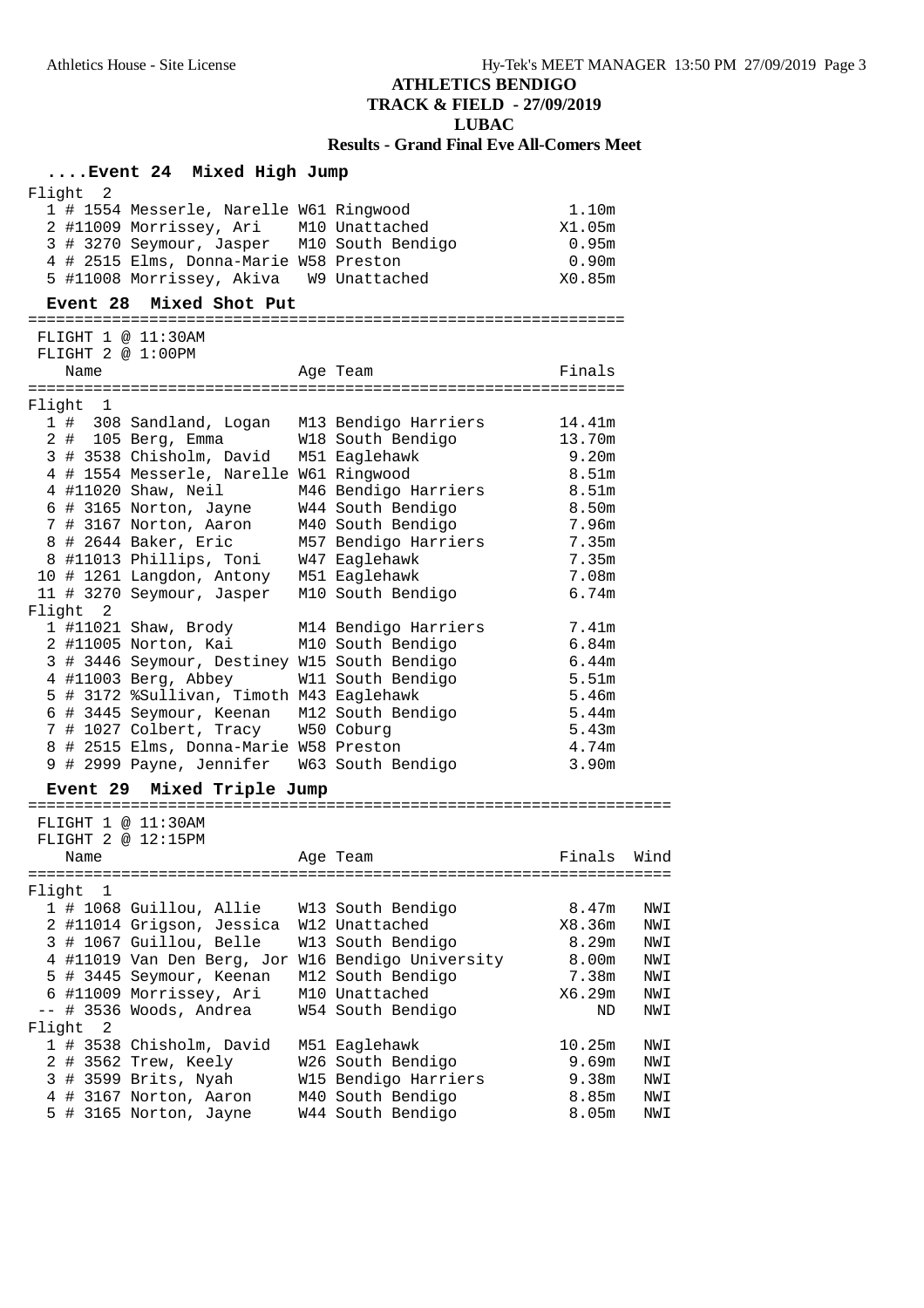# **TRACK & FIELD - 27/09/2019**

### **LUBAC**

### **Results - Grand Final Eve All-Comers Meet**

## **....Event 24 Mixed High Jump**

| Prenc 27 mixed high bump                                                                                                                                                                                                         |                                        |                                                         |      |
|----------------------------------------------------------------------------------------------------------------------------------------------------------------------------------------------------------------------------------|----------------------------------------|---------------------------------------------------------|------|
| Flight 2<br>1 # 1554 Messerle, Narelle W61 Ringwood<br>2 #11009 Morrissey, Ari M10 Unattached<br>3 # 3270 Seymour, Jasper M10 South Bendigo<br>4 # 2515 Elms, Donna-Marie W58 Preston<br>5 #11008 Morrissey, Akiva W9 Unattached |                                        | 1.10m<br>X1.05m<br>0.95m<br>0.90 <sub>m</sub><br>X0.85m |      |
| Event 28 Mixed Shot Put                                                                                                                                                                                                          |                                        |                                                         |      |
|                                                                                                                                                                                                                                  |                                        |                                                         |      |
| FLIGHT 1 @ 11:30AM<br>FLIGHT 2 @ 1:00PM                                                                                                                                                                                          |                                        |                                                         |      |
| Name                                                                                                                                                                                                                             | Age Team                               | Finals                                                  |      |
|                                                                                                                                                                                                                                  |                                        |                                                         |      |
| Flight 1                                                                                                                                                                                                                         |                                        |                                                         |      |
| 1 # 308 Sandland, Logan M13 Bendigo Harriers                                                                                                                                                                                     |                                        | 14.41m                                                  |      |
| 2 # 105 Berg, Emma W18 South Bendigo                                                                                                                                                                                             |                                        | 13.70m                                                  |      |
| 3 # 3538 Chisholm, David M51 Eaglehawk                                                                                                                                                                                           |                                        | 9.20m                                                   |      |
| 4 # 1554 Messerle, Narelle W61 Ringwood                                                                                                                                                                                          |                                        | 8.51m                                                   |      |
| 4 #11020 Shaw, Neil                                                                                                                                                                                                              | M46 Bendigo Harriers                   | 8.51m                                                   |      |
| 6 # 3165 Norton, Jayne<br>7 # 3167 Norton, Aaron                                                                                                                                                                                 | W44 South Bendigo<br>M40 South Bendigo | 8.50m<br>7.96m                                          |      |
| 8 # 2644 Baker, Eric                                                                                                                                                                                                             | M57 Bendigo Harriers                   | 7.35m                                                   |      |
| 8 #11013 Phillips, Toni W47 Eaglehawk                                                                                                                                                                                            |                                        | 7.35m                                                   |      |
| 10 # 1261 Langdon, Antony M51 Eaglehawk                                                                                                                                                                                          |                                        | 7.08m                                                   |      |
| 11 # 3270 Seymour, Jasper M10 South Bendigo                                                                                                                                                                                      |                                        | 6.74m                                                   |      |
| Flight 2                                                                                                                                                                                                                         |                                        |                                                         |      |
| 1 #11021 Shaw, Brody M14 Bendigo Harriers                                                                                                                                                                                        |                                        | 7.41m                                                   |      |
| 2 #11005 Norton, Kai                                                                                                                                                                                                             | M10 South Bendigo                      | 6.84m                                                   |      |
| 3 # 3446 Seymour, Destiney W15 South Bendigo                                                                                                                                                                                     |                                        | 6.44m                                                   |      |
| 4 #11003 Berg, Abbey W11 South Bendigo                                                                                                                                                                                           |                                        | 5.51m                                                   |      |
| 5 # 3172 %Sullivan, Timoth M43 Eaglehawk                                                                                                                                                                                         |                                        | 5.46m                                                   |      |
| 6 # 3445 Seymour, Keenan M12 South Bendigo                                                                                                                                                                                       |                                        | 5.44m                                                   |      |
| 7 # 1027 Colbert, Tracy W50 Coburg                                                                                                                                                                                               |                                        | 5.43m                                                   |      |
| 8 # 2515 Elms, Donna-Marie W58 Preston                                                                                                                                                                                           |                                        | 4.74m                                                   |      |
| 9 # 2999 Payne, Jennifer W63 South Bendigo                                                                                                                                                                                       |                                        | 3.90m                                                   |      |
| Mixed Triple Jump<br><b>Event 29</b>                                                                                                                                                                                             |                                        |                                                         |      |
|                                                                                                                                                                                                                                  |                                        |                                                         |      |
| FLIGHT $1 \text{ } \nabla$ 11:30AM                                                                                                                                                                                               |                                        |                                                         |      |
| FLIGHT 2 @ 12:15PM                                                                                                                                                                                                               |                                        |                                                         |      |
| Name                                                                                                                                                                                                                             | Age Team                               | Finals                                                  | Wind |
|                                                                                                                                                                                                                                  |                                        |                                                         |      |
| Flight<br>$\overline{1}$<br>1 # 1068 Guillou, Allie                                                                                                                                                                              | W13 South Bendigo                      | 8.47m                                                   | NWI  |
| 2 #11014 Grigson, Jessica                                                                                                                                                                                                        | W12 Unattached                         | X8.36m                                                  | NWI  |
| 3 # 1067 Guillou, Belle                                                                                                                                                                                                          | W13 South Bendigo                      | 8.29m                                                   | NWI  |
| 4 #11019 Van Den Berg, Jor                                                                                                                                                                                                       | W16 Bendigo University                 | 8.00m                                                   | NWI  |
| 5 # 3445 Seymour, Keenan                                                                                                                                                                                                         | M12 South Bendigo                      | 7.38m                                                   | NWI  |
| 6 #11009 Morrissey, Ari                                                                                                                                                                                                          | M10 Unattached                         | X6.29m                                                  | NWI  |
| -- # 3536 Woods, Andrea                                                                                                                                                                                                          | W54 South Bendigo                      | ND                                                      | NWI  |
| $\sqrt{2}$<br>Flight                                                                                                                                                                                                             |                                        |                                                         |      |
| 1 # 3538 Chisholm, David                                                                                                                                                                                                         | M51 Eaglehawk                          | 10.25m                                                  | NWI  |
| 2 # 3562 Trew, Keely                                                                                                                                                                                                             | W26 South Bendigo                      | 9.69m                                                   | NWI  |
| 3 # 3599 Brits, Nyah                                                                                                                                                                                                             | W15 Bendigo Harriers                   | 9.38m                                                   | NWI  |
| 4 # 3167 Norton, Aaron                                                                                                                                                                                                           | M40 South Bendigo                      | 8.85m                                                   | NWI  |
| 5 # 3165 Norton, Jayne                                                                                                                                                                                                           | W44 South Bendigo                      | 8.05m                                                   | NWI  |